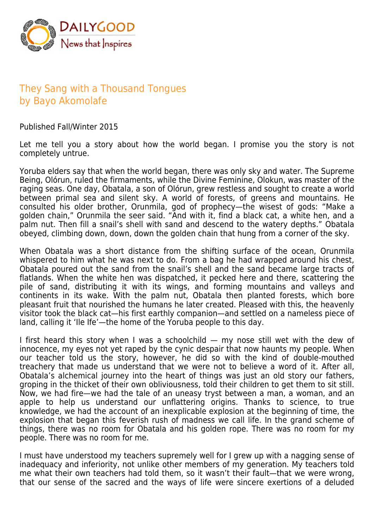

## They Sang with a Thousand Tongues by Bayo Akomolafe

Published Fall/Winter 2015

Let me tell you a story about how the world began. I promise you the story is not completely untrue.

Yoruba elders say that when the world began, there was only sky and water. The Supreme Being, Olórun, ruled the firmaments, while the Divine Feminine, Olokun, was master of the raging seas. One day, Obatala, a son of Olórun, grew restless and sought to create a world between primal sea and silent sky. A world of forests, of greens and mountains. He consulted his older brother, Orunmila, god of prophecy—the wisest of gods: "Make a golden chain," Orunmila the seer said. "And with it, find a black cat, a white hen, and a palm nut. Then fill a snail's shell with sand and descend to the watery depths." Obatala obeyed, climbing down, down, down the golden chain that hung from a corner of the sky.

When Obatala was a short distance from the shifting surface of the ocean, Orunmila whispered to him what he was next to do. From a bag he had wrapped around his chest, Obatala poured out the sand from the snail's shell and the sand became large tracts of flatlands. When the white hen was dispatched, it pecked here and there, scattering the pile of sand, distributing it with its wings, and forming mountains and valleys and continents in its wake. With the palm nut, Obatala then planted forests, which bore pleasant fruit that nourished the humans he later created. Pleased with this, the heavenly visitor took the black cat—his first earthly companion—and settled on a nameless piece of land, calling it 'Ile Ife'—the home of the Yoruba people to this day.

I first heard this story when I was a schoolchild — my nose still wet with the dew of innocence, my eyes not yet raped by the cynic despair that now haunts my people. When our teacher told us the story, however, he did so with the kind of double-mouthed treachery that made us understand that we were not to believe a word of it. After all, Obatala's alchemical journey into the heart of things was just an old story our fathers, groping in the thicket of their own obliviousness, told their children to get them to sit still. Now, we had fire—we had the tale of an uneasy tryst between a man, a woman, and an apple to help us understand our unflattering origins. Thanks to science, to true knowledge, we had the account of an inexplicable explosion at the beginning of time, the explosion that began this feverish rush of madness we call life. In the grand scheme of things, there was no room for Obatala and his golden rope. There was no room for my people. There was no room for me.

I must have understood my teachers supremely well for I grew up with a nagging sense of inadequacy and inferiority, not unlike other members of my generation. My teachers told me what their own teachers had told them, so it wasn't their fault—that we were wrong, that our sense of the sacred and the ways of life were sincere exertions of a deluded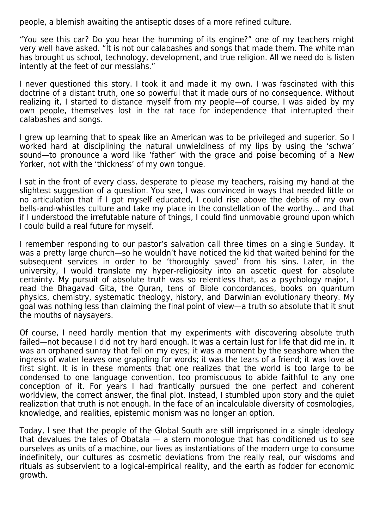people, a blemish awaiting the antiseptic doses of a more refined culture.

"You see this car? Do you hear the humming of its engine?" one of my teachers might very well have asked. "It is not our calabashes and songs that made them. The white man has brought us school, technology, development, and true religion. All we need do is listen intently at the feet of our messiahs."

I never questioned this story. I took it and made it my own. I was fascinated with this doctrine of a distant truth, one so powerful that it made ours of no consequence. Without realizing it, I started to distance myself from my people—of course, I was aided by my own people, themselves lost in the rat race for independence that interrupted their calabashes and songs.

I grew up learning that to speak like an American was to be privileged and superior. So I worked hard at disciplining the natural unwieldiness of my lips by using the 'schwa' sound—to pronounce a word like 'father' with the grace and poise becoming of a New Yorker, not with the 'thickness' of my own tongue.

I sat in the front of every class, desperate to please my teachers, raising my hand at the slightest suggestion of a question. You see, I was convinced in ways that needed little or no articulation that if I got myself educated, I could rise above the debris of my own bells-and-whistles culture and take my place in the constellation of the worthy… and that if I understood the irrefutable nature of things, I could find unmovable ground upon which I could build a real future for myself.

I remember responding to our pastor's salvation call three times on a single Sunday. It was a pretty large church—so he wouldn't have noticed the kid that waited behind for the subsequent services in order to be 'thoroughly saved' from his sins. Later, in the university, I would translate my hyper-religiosity into an ascetic quest for absolute certainty. My pursuit of absolute truth was so relentless that, as a psychology major, I read the Bhagavad Gita, the Quran, tens of Bible concordances, books on quantum physics, chemistry, systematic theology, history, and Darwinian evolutionary theory. My goal was nothing less than claiming the final point of view—a truth so absolute that it shut the mouths of naysayers.

Of course, I need hardly mention that my experiments with discovering absolute truth failed—not because I did not try hard enough. It was a certain lust for life that did me in. It was an orphaned sunray that fell on my eyes; it was a moment by the seashore when the ingress of water leaves one grappling for words; it was the tears of a friend; it was love at first sight. It is in these moments that one realizes that the world is too large to be condensed to one language convention, too promiscuous to abide faithful to any one conception of it. For years I had frantically pursued the one perfect and coherent worldview, the correct answer, the final plot. Instead, I stumbled upon story and the quiet realization that truth is not enough. In the face of an incalculable diversity of cosmologies, knowledge, and realities, epistemic monism was no longer an option.

Today, I see that the people of the Global South are still imprisoned in a single ideology that devalues the tales of Obatala  $-$  a stern monologue that has conditioned us to see ourselves as units of a machine, our lives as instantiations of the modern urge to consume indefinitely, our cultures as cosmetic deviations from the really real, our wisdoms and rituals as subservient to a logical-empirical reality, and the earth as fodder for economic growth.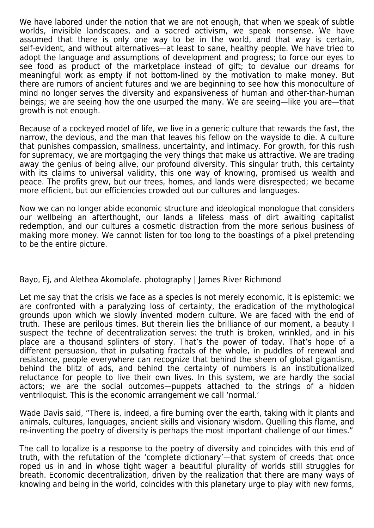We have labored under the notion that we are not enough, that when we speak of subtle worlds, invisible landscapes, and a sacred activism, we speak nonsense. We have assumed that there is only one way to be in the world, and that way is certain, self-evident, and without alternatives—at least to sane, healthy people. We have tried to adopt the language and assumptions of development and progress; to force our eyes to see food as product of the marketplace instead of gift; to devalue our dreams for meaningful work as empty if not bottom-lined by the motivation to make money. But there are rumors of ancient futures and we are beginning to see how this monoculture of mind no longer serves the diversity and expansiveness of human and other-than-human beings; we are seeing how the one usurped the many. We are seeing—like you are—that growth is not enough.

Because of a cockeyed model of life, we live in a generic culture that rewards the fast, the narrow, the devious, and the man that leaves his fellow on the wayside to die. A culture that punishes compassion, smallness, uncertainty, and intimacy. For growth, for this rush for supremacy, we are mortgaging the very things that make us attractive. We are trading away the genius of being alive, our profound diversity. This singular truth, this certainty with its claims to universal validity, this one way of knowing, promised us wealth and peace. The profits grew, but our trees, homes, and lands were disrespected; we became more efficient, but our efficiencies crowded out our cultures and languages.

Now we can no longer abide economic structure and ideological monologue that considers our wellbeing an afterthought, our lands a lifeless mass of dirt awaiting capitalist redemption, and our cultures a cosmetic distraction from the more serious business of making more money. We cannot listen for too long to the boastings of a pixel pretending to be the entire picture.

## Bayo, Ej, and Alethea Akomolafe. photography | James River Richmond

Let me say that the crisis we face as a species is not merely economic, it is epistemic: we are confronted with a paralyzing loss of certainty, the eradication of the mythological grounds upon which we slowly invented modern culture. We are faced with the end of truth. These are perilous times. But therein lies the brilliance of our moment, a beauty I suspect the techne of decentralization serves: the truth is broken, wrinkled, and in his place are a thousand splinters of story. That's the power of today. That's hope of a different persuasion, that in pulsating fractals of the whole, in puddles of renewal and resistance, people everywhere can recognize that behind the sheen of global gigantism, behind the blitz of ads, and behind the certainty of numbers is an institutionalized reluctance for people to live their own lives. In this system, we are hardly the social actors; we are the social outcomes—puppets attached to the strings of a hidden ventriloquist. This is the economic arrangement we call 'normal.'

Wade Davis said, "There is, indeed, a fire burning over the earth, taking with it plants and animals, cultures, languages, ancient skills and visionary wisdom. Quelling this flame, and re-inventing the poetry of diversity is perhaps the most important challenge of our times."

The call to localize is a response to the poetry of diversity and coincides with this end of truth, with the refutation of the 'complete dictionary'—that system of creeds that once roped us in and in whose tight wager a beautiful plurality of worlds still struggles for breath. Economic decentralization, driven by the realization that there are many ways of knowing and being in the world, coincides with this planetary urge to play with new forms,